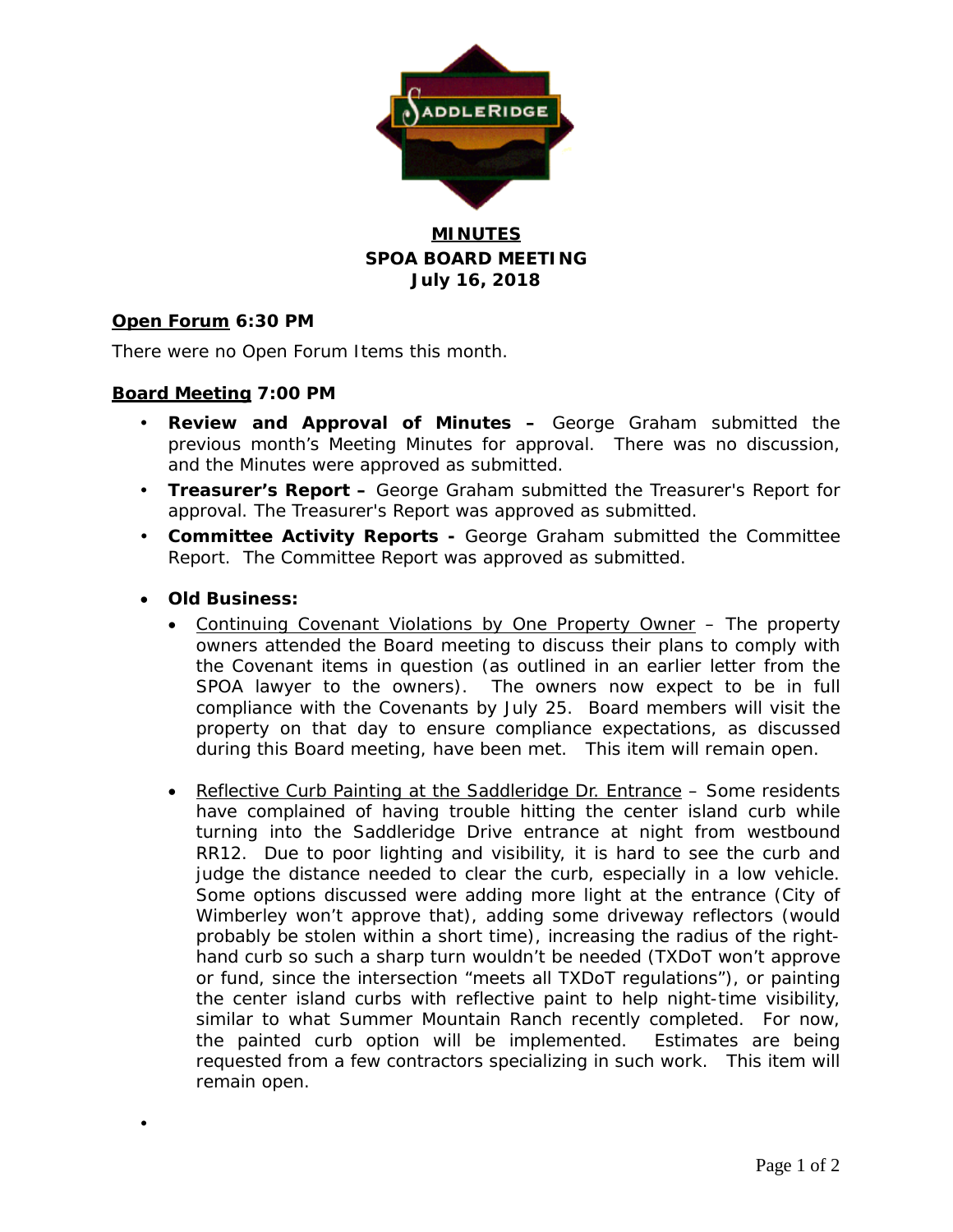

### **MINUTES SPOA BOARD MEETING July 16, 2018**

### **Open Forum 6:30 PM**

There were no Open Forum Items this month.

### **Board Meeting 7:00 PM**

- **Review and Approval of Minutes –** George Graham submitted the previous month's Meeting Minutes for approval. There was no discussion, and the Minutes were approved as submitted.
- **Treasurer's Report –** George Graham submitted the Treasurer's Report for approval. The Treasurer's Report was approved as submitted.
- **Committee Activity Reports -** George Graham submitted the Committee Report. The Committee Report was approved as submitted.
- **Old Business:**

 $\bullet$ 

- Continuing Covenant Violations by One Property Owner The property owners attended the Board meeting to discuss their plans to comply with the Covenant items in question (as outlined in an earlier letter from the SPOA lawyer to the owners). The owners now expect to be in full compliance with the Covenants by July 25. Board members will visit the property on that day to ensure compliance expectations, as discussed during this Board meeting, have been met. This item will remain open.
- Reflective Curb Painting at the Saddleridge Dr. Entrance Some residents have complained of having trouble hitting the center island curb while turning into the Saddleridge Drive entrance at night from westbound RR12. Due to poor lighting and visibility, it is hard to see the curb and judge the distance needed to clear the curb, especially in a low vehicle. Some options discussed were adding more light at the entrance (City of Wimberley won't approve that), adding some driveway reflectors (would probably be stolen within a short time), increasing the radius of the righthand curb so such a sharp turn wouldn't be needed (TXDoT won't approve or fund, since the intersection "meets all TXDoT regulations"), or painting the center island curbs with reflective paint to help night-time visibility, similar to what Summer Mountain Ranch recently completed. For now, the painted curb option will be implemented. Estimates are being requested from a few contractors specializing in such work. This item will remain open.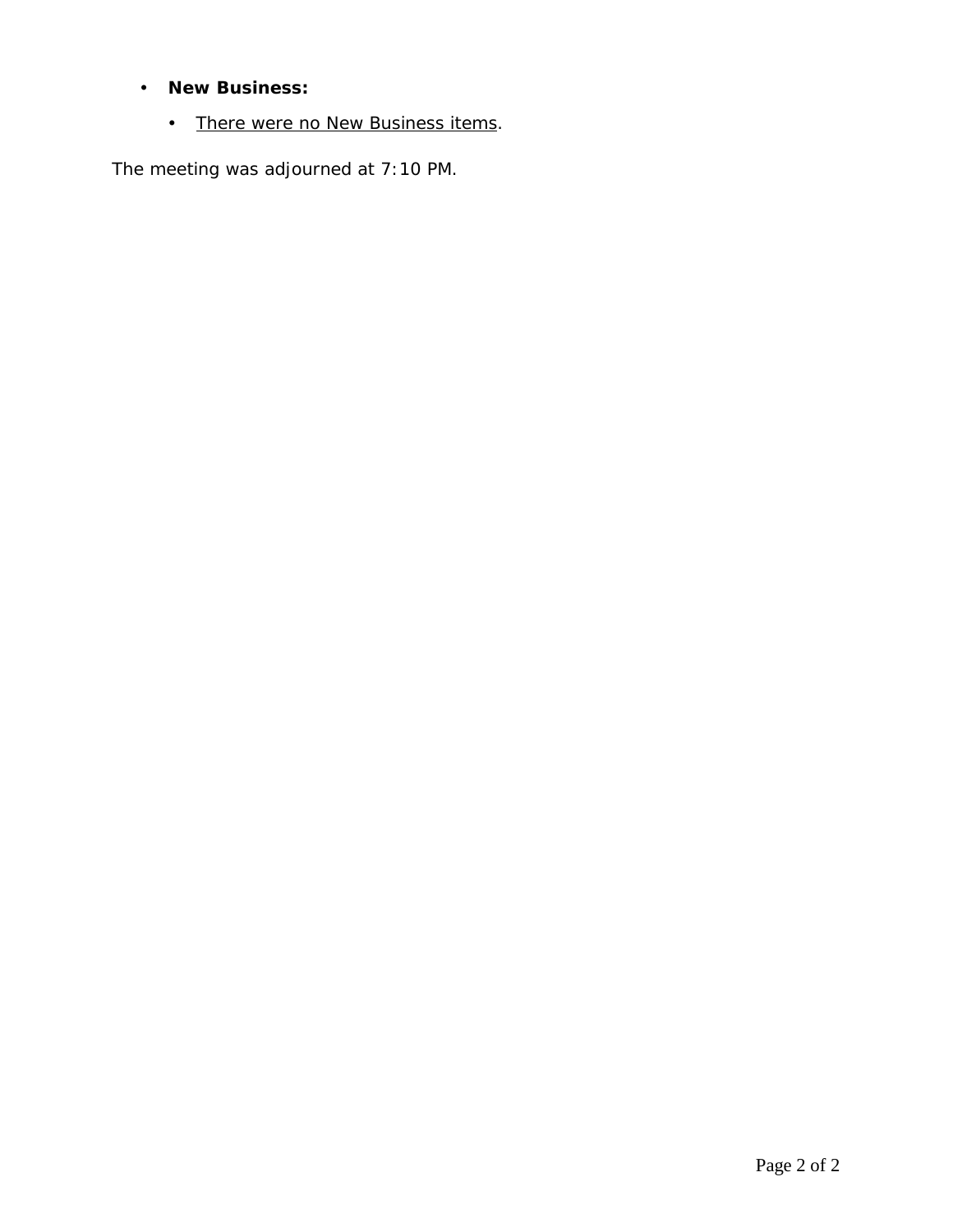# **New Business:**

• There were no New Business items.

The meeting was adjourned at 7:10 PM.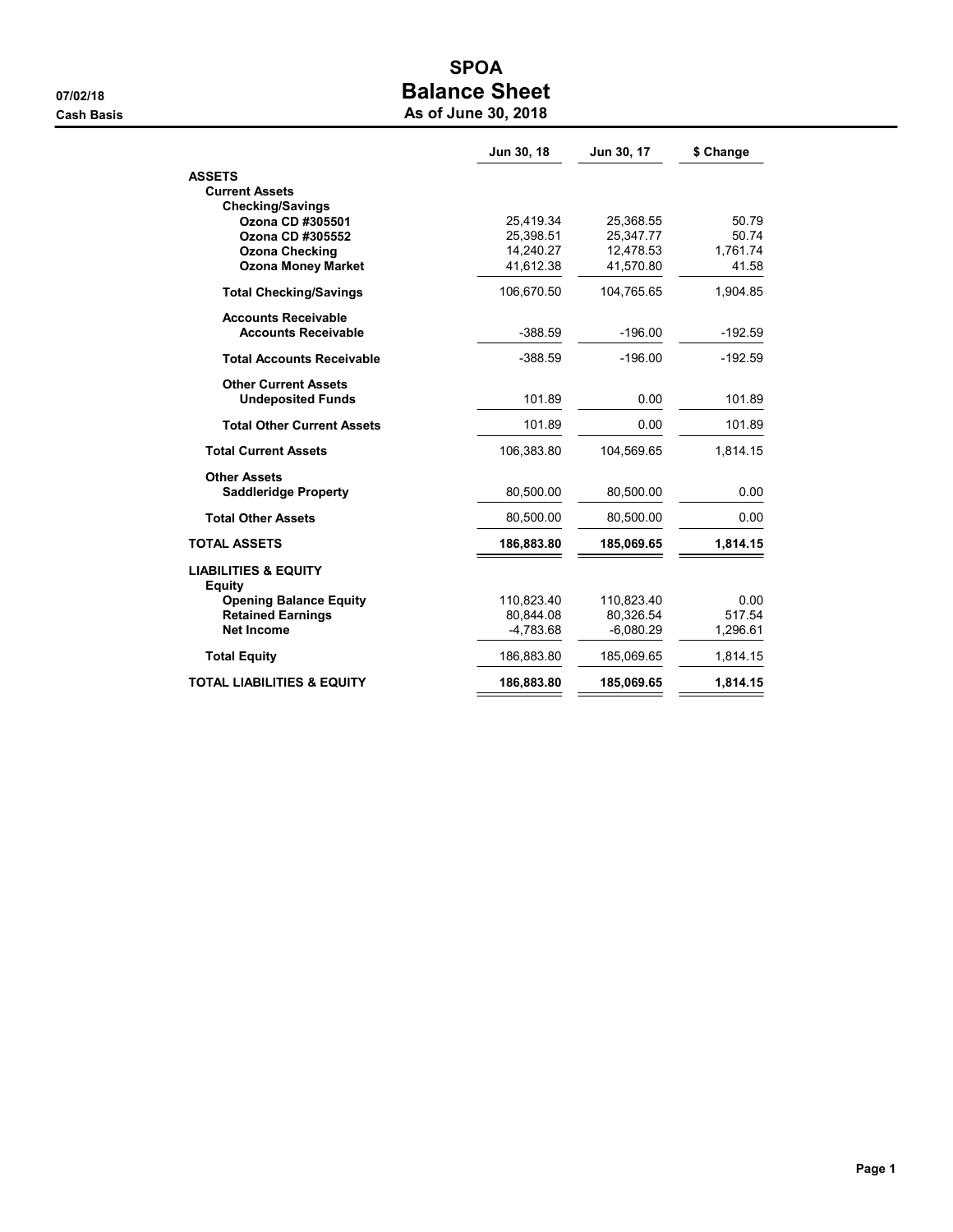# SPOA 07/02/18 07/02/18

| As of June 30, 2018 |  |  |  |  |  |
|---------------------|--|--|--|--|--|
|---------------------|--|--|--|--|--|

|                                               | Jun 30, 18              | Jun 30, 17              | \$ Change         |
|-----------------------------------------------|-------------------------|-------------------------|-------------------|
| <b>ASSETS</b>                                 |                         |                         |                   |
| <b>Current Assets</b>                         |                         |                         |                   |
| <b>Checking/Savings</b>                       |                         |                         |                   |
| Ozona CD #305501                              | 25,419.34               | 25,368.55               | 50.79             |
| Ozona CD #305552                              | 25,398.51               | 25,347.77               | 50.74             |
| <b>Ozona Checking</b>                         | 14,240.27               | 12,478.53               | 1,761.74<br>41.58 |
| <b>Ozona Money Market</b>                     | 41,612.38               | 41,570.80               |                   |
| <b>Total Checking/Savings</b>                 | 106,670.50              | 104,765.65              | 1,904.85          |
| <b>Accounts Receivable</b>                    |                         |                         |                   |
| <b>Accounts Receivable</b>                    | $-388.59$               | $-196.00$               | $-192.59$         |
| <b>Total Accounts Receivable</b>              | $-388.59$               | $-196.00$               | $-192.59$         |
| <b>Other Current Assets</b>                   |                         |                         |                   |
| <b>Undeposited Funds</b>                      | 101.89                  | 0.00                    | 101.89            |
| <b>Total Other Current Assets</b>             | 101.89                  | 0.00                    | 101.89            |
| <b>Total Current Assets</b>                   | 106,383.80              | 104,569.65              | 1,814.15          |
| <b>Other Assets</b>                           |                         |                         |                   |
| <b>Saddleridge Property</b>                   | 80,500.00               | 80,500.00               | 0.00              |
| <b>Total Other Assets</b>                     | 80,500.00               | 80,500.00               | 0.00              |
| <b>TOTAL ASSETS</b>                           | 186,883.80              | 185,069.65              | 1,814.15          |
| <b>LIABILITIES &amp; EQUITY</b>               |                         |                         |                   |
| <b>Equity</b>                                 |                         |                         |                   |
| <b>Opening Balance Equity</b>                 | 110,823.40<br>80,844.08 | 110,823.40<br>80,326.54 | 0.00<br>517.54    |
| <b>Retained Earnings</b><br><b>Net Income</b> | $-4,783.68$             | $-6,080.29$             | 1,296.61          |
|                                               |                         |                         |                   |
| <b>Total Equity</b>                           | 186,883.80              | 185,069.65              | 1,814.15          |
| <b>TOTAL LIABILITIES &amp; EQUITY</b>         | 186,883.80              | 185,069.65              | 1,814.15          |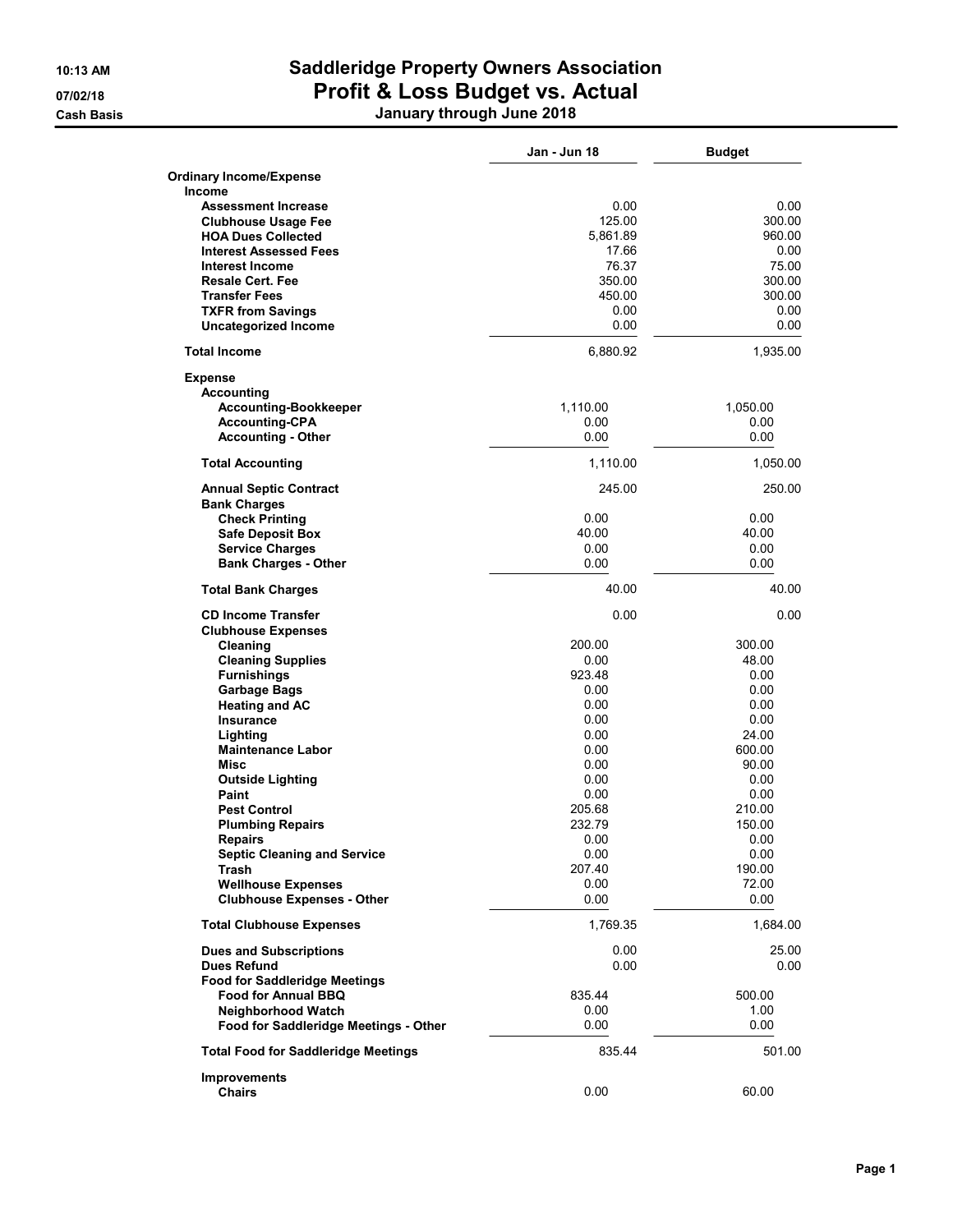### 10:13 AM Saddleridge Property Owners Association 07/02/18 **Profit & Loss Budget vs. Actual** Cash Basis January through June 2018

|                                            | Jan - Jun 18 | <b>Budget</b> |
|--------------------------------------------|--------------|---------------|
| <b>Ordinary Income/Expense</b>             |              |               |
| Income                                     |              |               |
| <b>Assessment Increase</b>                 | 0.00         | 0.00          |
| <b>Clubhouse Usage Fee</b>                 | 125.00       | 300.00        |
| <b>HOA Dues Collected</b>                  | 5,861.89     | 960.00        |
| <b>Interest Assessed Fees</b>              | 17.66        | 0.00          |
| <b>Interest Income</b>                     | 76.37        | 75.00         |
| <b>Resale Cert. Fee</b>                    | 350.00       | 300.00        |
| <b>Transfer Fees</b>                       | 450.00       | 300.00        |
| <b>TXFR from Savings</b>                   | 0.00         | 0.00          |
| <b>Uncategorized Income</b>                | 0.00         | 0.00          |
| <b>Total Income</b>                        | 6,880.92     | 1,935.00      |
| <b>Expense</b>                             |              |               |
| <b>Accounting</b>                          |              |               |
| <b>Accounting-Bookkeeper</b>               | 1,110.00     | 1,050.00      |
| <b>Accounting-CPA</b>                      | 0.00         | 0.00          |
| <b>Accounting - Other</b>                  | 0.00         | 0.00          |
| <b>Total Accounting</b>                    | 1,110.00     | 1,050.00      |
| <b>Annual Septic Contract</b>              | 245.00       | 250.00        |
| <b>Bank Charges</b>                        |              |               |
| <b>Check Printing</b>                      | 0.00         | 0.00          |
| <b>Safe Deposit Box</b>                    | 40.00        | 40.00         |
| <b>Service Charges</b>                     | 0.00         | 0.00          |
| <b>Bank Charges - Other</b>                | 0.00         | 0.00          |
| <b>Total Bank Charges</b>                  | 40.00        | 40.00         |
| <b>CD Income Transfer</b>                  | 0.00         | 0.00          |
| <b>Clubhouse Expenses</b>                  |              |               |
| Cleaning                                   | 200.00       | 300.00        |
| <b>Cleaning Supplies</b>                   | 0.00         | 48.00         |
| <b>Furnishings</b>                         | 923.48       | 0.00          |
| <b>Garbage Bags</b>                        | 0.00         | 0.00          |
| <b>Heating and AC</b>                      | 0.00         | 0.00          |
| <b>Insurance</b>                           | 0.00         | 0.00          |
| Lighting                                   | 0.00         | 24.00         |
| <b>Maintenance Labor</b>                   | 0.00         | 600.00        |
| Misc                                       | 0.00         | 90.00         |
| <b>Outside Lighting</b>                    | 0.00         | 0.00          |
| <b>Paint</b>                               | 0.00         | 0.00          |
| <b>Pest Control</b>                        | 205.68       | 210.00        |
| <b>Plumbing Repairs</b>                    | 232.79       | 150.00        |
| Repairs                                    | 0.00         | 0.00          |
| <b>Septic Cleaning and Service</b>         | 0.00         | 0.00          |
| Trash                                      | 207.40       | 190.00        |
| <b>Wellhouse Expenses</b>                  | 0.00         | 72.00         |
| <b>Clubhouse Expenses - Other</b>          | 0.00         | 0.00          |
| <b>Total Clubhouse Expenses</b>            | 1,769.35     | 1,684.00      |
| <b>Dues and Subscriptions</b>              | 0.00         | 25.00         |
| <b>Dues Refund</b>                         | 0.00         | 0.00          |
| <b>Food for Saddleridge Meetings</b>       |              |               |
| <b>Food for Annual BBQ</b>                 | 835.44       | 500.00        |
| <b>Neighborhood Watch</b>                  | 0.00         | 1.00          |
| Food for Saddleridge Meetings - Other      | 0.00         | 0.00          |
| <b>Total Food for Saddleridge Meetings</b> | 835.44       | 501.00        |
| Improvements                               |              |               |
| <b>Chairs</b>                              | 0.00         | 60.00         |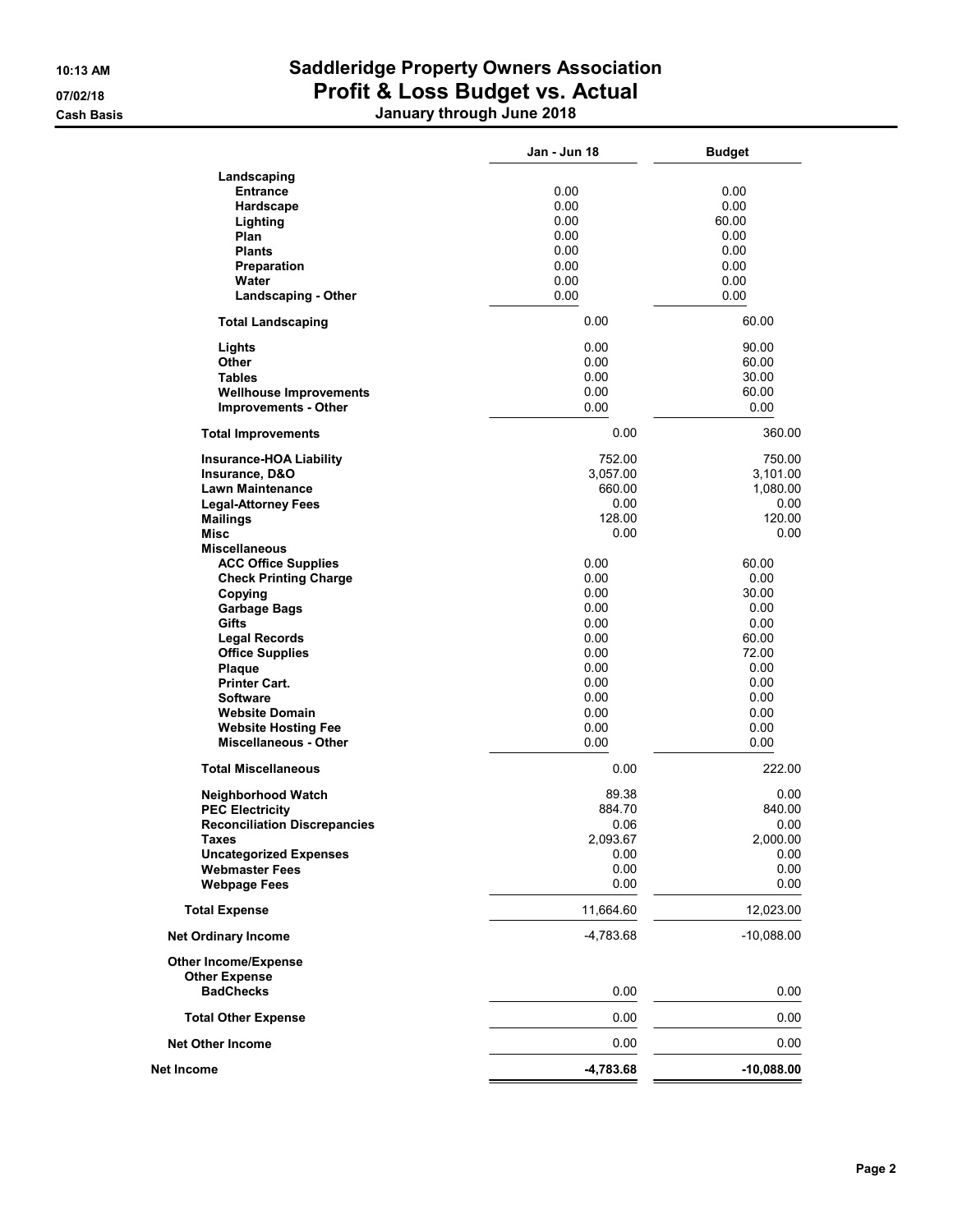### 10:13 AM Saddleridge Property Owners Association 07/02/18 **Profit & Loss Budget vs. Actual** Cash Basis January through June 2018

|                                                            | Jan - Jun 18 | <b>Budget</b> |
|------------------------------------------------------------|--------------|---------------|
| Landscaping                                                |              |               |
| <b>Entrance</b>                                            | 0.00         | 0.00          |
| Hardscape                                                  | 0.00         | 0.00          |
| Lighting                                                   | 0.00         | 60.00         |
| Plan                                                       | 0.00         | 0.00          |
| <b>Plants</b>                                              | 0.00         | 0.00          |
| Preparation                                                | 0.00         | 0.00          |
| Water                                                      | 0.00         | 0.00          |
| <b>Landscaping - Other</b>                                 | 0.00         | 0.00          |
| <b>Total Landscaping</b>                                   | 0.00         | 60.00         |
| Lights                                                     | 0.00         | 90.00         |
| Other                                                      | 0.00         | 60.00         |
| <b>Tables</b>                                              | 0.00         | 30.00         |
| <b>Wellhouse Improvements</b>                              | 0.00         | 60.00         |
| <b>Improvements - Other</b>                                | 0.00         | 0.00          |
| <b>Total Improvements</b>                                  | 0.00         | 360.00        |
| <b>Insurance-HOA Liability</b>                             | 752.00       | 750.00        |
| Insurance, D&O                                             | 3.057.00     | 3,101.00      |
| <b>Lawn Maintenance</b>                                    | 660.00       | 1,080.00      |
| <b>Legal-Attorney Fees</b>                                 | 0.00         | 0.00          |
| <b>Mailings</b>                                            | 128.00       | 120.00        |
| <b>Misc</b>                                                | 0.00         | 0.00          |
| <b>Miscellaneous</b>                                       |              |               |
| <b>ACC Office Supplies</b>                                 | 0.00         | 60.00         |
| <b>Check Printing Charge</b>                               | 0.00         | 0.00          |
| Copying                                                    | 0.00         | 30.00         |
| <b>Garbage Bags</b>                                        | 0.00         | 0.00          |
| Gifts                                                      | 0.00         | 0.00          |
| <b>Legal Records</b>                                       | 0.00         | 60.00         |
| <b>Office Supplies</b>                                     | 0.00         | 72.00         |
| Plaque                                                     | 0.00         | 0.00          |
| <b>Printer Cart.</b>                                       | 0.00         | 0.00          |
| <b>Software</b>                                            | 0.00         | 0.00          |
| <b>Website Domain</b>                                      | 0.00         | 0.00          |
|                                                            | 0.00         | 0.00          |
| <b>Website Hosting Fee</b><br><b>Miscellaneous - Other</b> | 0.00         | 0.00          |
| <b>Total Miscellaneous</b>                                 | 0.00         | 222.00        |
| <b>Neighborhood Watch</b>                                  | 89.38        | 0.00          |
| <b>PEC Electricity</b>                                     | 884.70       | 840.00        |
| <b>Reconciliation Discrepancies</b>                        | 0.06         | 0.00          |
| Taxes                                                      |              |               |
|                                                            | 2,093.67     | 2,000.00      |
| <b>Uncategorized Expenses</b>                              | 0.00         | 0.00          |
| <b>Webmaster Fees</b>                                      | 0.00         | 0.00          |
| <b>Webpage Fees</b>                                        | 0.00         | 0.00          |
| <b>Total Expense</b>                                       | 11,664.60    | 12,023.00     |
| <b>Net Ordinary Income</b>                                 | $-4,783.68$  | $-10,088.00$  |
| <b>Other Income/Expense</b>                                |              |               |
| <b>Other Expense</b><br><b>BadChecks</b>                   | 0.00         | 0.00          |
| <b>Total Other Expense</b>                                 | 0.00         | 0.00          |
| <b>Net Other Income</b>                                    | 0.00         | 0.00          |
|                                                            |              |               |
| Net Income                                                 | $-4,783.68$  | $-10,088.00$  |